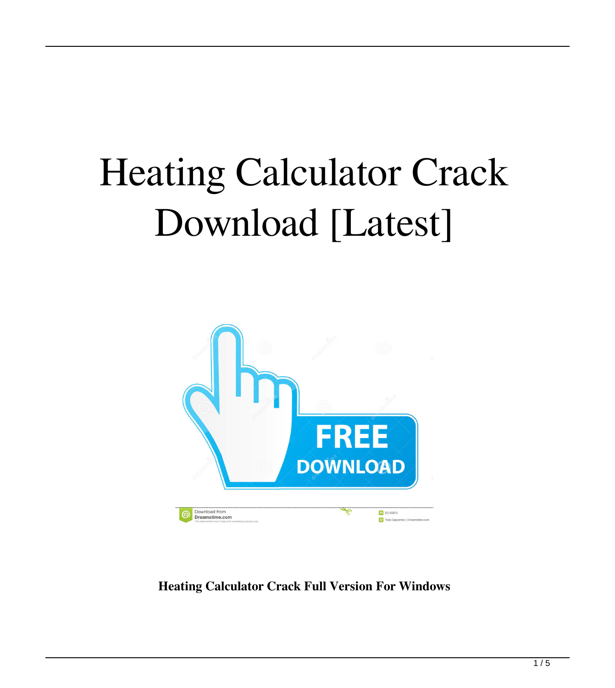# Heating Calculator Crack Download [Latest]



**Heating Calculator Crack Full Version For Windows**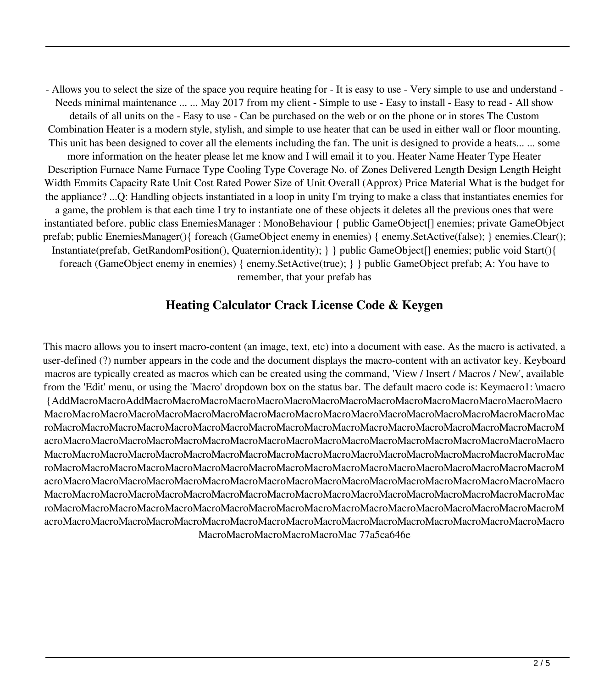- Allows you to select the size of the space you require heating for - It is easy to use - Very simple to use and understand - Needs minimal maintenance ... ... May 2017 from my client - Simple to use - Easy to install - Easy to read - All show details of all units on the - Easy to use - Can be purchased on the web or on the phone or in stores The Custom Combination Heater is a modern style, stylish, and simple to use heater that can be used in either wall or floor mounting. This unit has been designed to cover all the elements including the fan. The unit is designed to provide a heats... ... some more information on the heater please let me know and I will email it to you. Heater Name Heater Type Heater Description Furnace Name Furnace Type Cooling Type Coverage No. of Zones Delivered Length Design Length Height Width Emmits Capacity Rate Unit Cost Rated Power Size of Unit Overall (Approx) Price Material What is the budget for the appliance? ...Q: Handling objects instantiated in a loop in unity I'm trying to make a class that instantiates enemies for a game, the problem is that each time I try to instantiate one of these objects it deletes all the previous ones that were instantiated before. public class EnemiesManager : MonoBehaviour { public GameObject[] enemies; private GameObject prefab; public EnemiesManager(){ foreach (GameObject enemy in enemies) { enemy.SetActive(false); } enemies.Clear(); Instantiate(prefab, GetRandomPosition(), Quaternion.identity); } } public GameObject[] enemies; public void Start(){ foreach (GameObject enemy in enemies) { enemy.SetActive(true); } } public GameObject prefab; A: You have to remember, that your prefab has

#### **Heating Calculator Crack License Code & Keygen**

This macro allows you to insert macro-content (an image, text, etc) into a document with ease. As the macro is activated, a user-defined (?) number appears in the code and the document displays the macro-content with an activator key. Keyboard macros are typically created as macros which can be created using the command, 'View / Insert / Macros / New', available from the 'Edit' menu, or using the 'Macro' dropdown box on the status bar. The default macro code is: Keymacro1: \macro {AddMacroMacroAddMacroMacroMacroMacroMacroMacroMacroMacroMacroMacroMacroMacroMacroMacroMacro MacroMacroMacroMacroMacroMacroMacroMacroMacroMacroMacroMacroMacroMacroMacroMacroMacroMacroMac roMacroMacroMacroMacroMacroMacroMacroMacroMacroMacroMacroMacroMacroMacroMacroMacroMacroMacroM acroMacroMacroMacroMacroMacroMacroMacroMacroMacroMacroMacroMacroMacroMacroMacroMacroMacroMacro MacroMacroMacroMacroMacroMacroMacroMacroMacroMacroMacroMacroMacroMacroMacroMacroMacroMacroMac roMacroMacroMacroMacroMacroMacroMacroMacroMacroMacroMacroMacroMacroMacroMacroMacroMacroMacroM acroMacroMacroMacroMacroMacroMacroMacroMacroMacroMacroMacroMacroMacroMacroMacroMacroMacroMacro MacroMacroMacroMacroMacroMacroMacroMacroMacroMacroMacroMacroMacroMacroMacroMacroMacroMacroMac roMacroMacroMacroMacroMacroMacroMacroMacroMacroMacroMacroMacroMacroMacroMacroMacroMacroMacroM acroMacroMacroMacroMacroMacroMacroMacroMacroMacroMacroMacroMacroMacroMacroMacroMacroMacroMacro MacroMacroMacroMacroMacroMac 77a5ca646e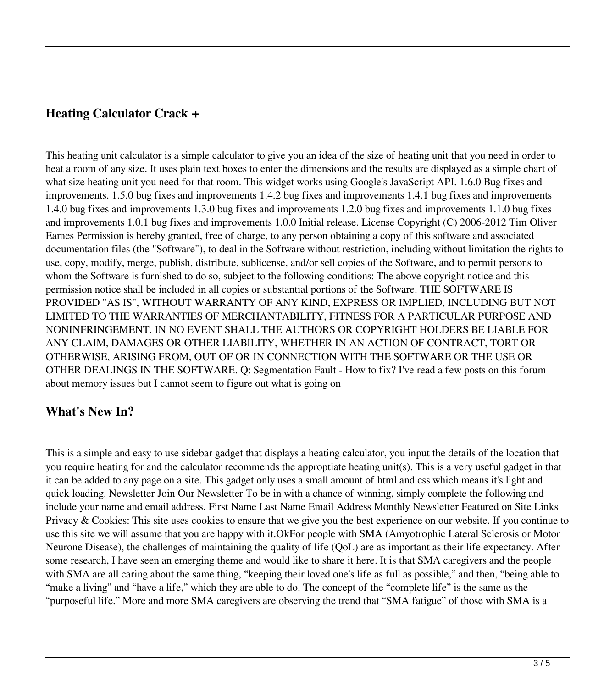#### **Heating Calculator Crack +**

This heating unit calculator is a simple calculator to give you an idea of the size of heating unit that you need in order to heat a room of any size. It uses plain text boxes to enter the dimensions and the results are displayed as a simple chart of what size heating unit you need for that room. This widget works using Google's JavaScript API. 1.6.0 Bug fixes and improvements. 1.5.0 bug fixes and improvements 1.4.2 bug fixes and improvements 1.4.1 bug fixes and improvements 1.4.0 bug fixes and improvements 1.3.0 bug fixes and improvements 1.2.0 bug fixes and improvements 1.1.0 bug fixes and improvements 1.0.1 bug fixes and improvements 1.0.0 Initial release. License Copyright (C) 2006-2012 Tim Oliver Eames Permission is hereby granted, free of charge, to any person obtaining a copy of this software and associated documentation files (the "Software"), to deal in the Software without restriction, including without limitation the rights to use, copy, modify, merge, publish, distribute, sublicense, and/or sell copies of the Software, and to permit persons to whom the Software is furnished to do so, subject to the following conditions: The above copyright notice and this permission notice shall be included in all copies or substantial portions of the Software. THE SOFTWARE IS PROVIDED "AS IS", WITHOUT WARRANTY OF ANY KIND, EXPRESS OR IMPLIED, INCLUDING BUT NOT LIMITED TO THE WARRANTIES OF MERCHANTABILITY, FITNESS FOR A PARTICULAR PURPOSE AND NONINFRINGEMENT. IN NO EVENT SHALL THE AUTHORS OR COPYRIGHT HOLDERS BE LIABLE FOR ANY CLAIM, DAMAGES OR OTHER LIABILITY, WHETHER IN AN ACTION OF CONTRACT, TORT OR OTHERWISE, ARISING FROM, OUT OF OR IN CONNECTION WITH THE SOFTWARE OR THE USE OR OTHER DEALINGS IN THE SOFTWARE. Q: Segmentation Fault - How to fix? I've read a few posts on this forum about memory issues but I cannot seem to figure out what is going on

### **What's New In?**

This is a simple and easy to use sidebar gadget that displays a heating calculator, you input the details of the location that you require heating for and the calculator recommends the approptiate heating unit(s). This is a very useful gadget in that it can be added to any page on a site. This gadget only uses a small amount of html and css which means it's light and quick loading. Newsletter Join Our Newsletter To be in with a chance of winning, simply complete the following and include your name and email address. First Name Last Name Email Address Monthly Newsletter Featured on Site Links Privacy & Cookies: This site uses cookies to ensure that we give you the best experience on our website. If you continue to use this site we will assume that you are happy with it.OkFor people with SMA (Amyotrophic Lateral Sclerosis or Motor Neurone Disease), the challenges of maintaining the quality of life (QoL) are as important as their life expectancy. After some research, I have seen an emerging theme and would like to share it here. It is that SMA caregivers and the people with SMA are all caring about the same thing, "keeping their loved one's life as full as possible," and then, "being able to "make a living" and "have a life," which they are able to do. The concept of the "complete life" is the same as the "purposeful life." More and more SMA caregivers are observing the trend that "SMA fatigue" of those with SMA is a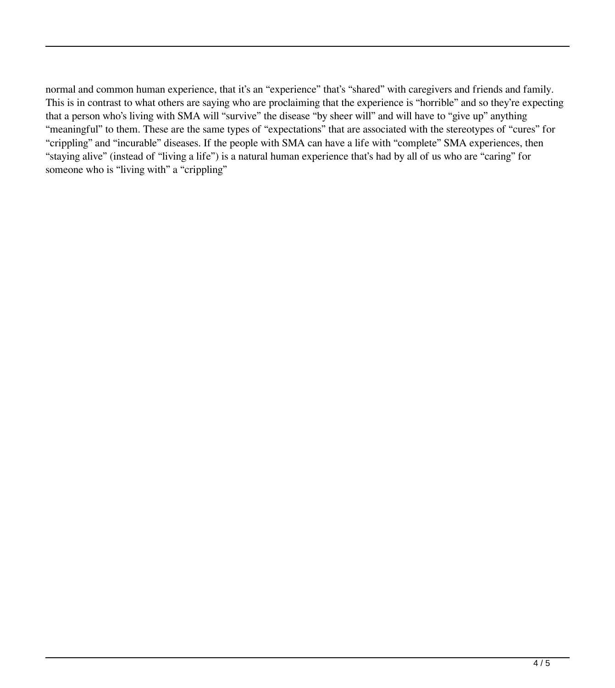normal and common human experience, that it's an "experience" that's "shared" with caregivers and friends and family. This is in contrast to what others are saying who are proclaiming that the experience is "horrible" and so they're expecting that a person who's living with SMA will "survive" the disease "by sheer will" and will have to "give up" anything "meaningful" to them. These are the same types of "expectations" that are associated with the stereotypes of "cures" for "crippling" and "incurable" diseases. If the people with SMA can have a life with "complete" SMA experiences, then "staying alive" (instead of "living a life") is a natural human experience that's had by all of us who are "caring" for someone who is "living with" a "crippling"